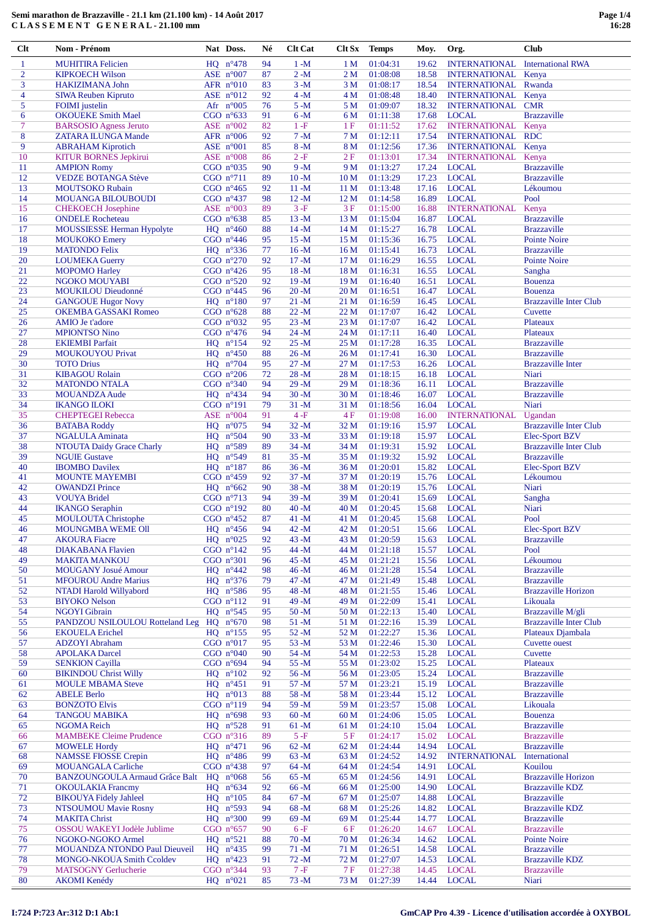# Semi marathon de Brazzaville - 21.1 km (21.100 km) - 14 Août 2017 CLASSEMENT GENERAL-21.100 mm

| $Cl$ t         | Nom - Prénom                          |    | Nat Doss.                        | Né       | <b>Clt Cat</b> | <b>Clt Sx</b>   | <b>Temps</b>         | Moy.  | Org.                 | <b>Club</b>                   |
|----------------|---------------------------------------|----|----------------------------------|----------|----------------|-----------------|----------------------|-------|----------------------|-------------------------------|
| $\mathbf{1}$   | <b>MUHITIRA Felicien</b>              |    | $HQ$ $n^{\circ}478$              | 94       | $1 - M$        | 1 <sub>M</sub>  | 01:04:31             | 19.62 | <b>INTERNATIONAL</b> | <b>International RWA</b>      |
| $\overline{c}$ | <b>KIPKOECH Wilson</b>                |    | ASE $n°007$                      | 87       | $2-M$          | 2 <sub>M</sub>  | 01:08:08             | 18.58 | <b>INTERNATIONAL</b> | Kenya                         |
| 3              | HAKIZIMANA John                       |    | AFR $n^{\circ}010$               | 83       | $3-M$          | 3 M             | 01:08:17             | 18.54 | <b>INTERNATIONAL</b> | Rwanda                        |
|                |                                       |    |                                  |          |                |                 |                      |       |                      |                               |
| $\overline{4}$ | SIWA Reuben Kipruto                   |    | ASE n°012                        | 92       | $4 - M$        | 4 M             | 01:08:48             | 18.40 | <b>INTERNATIONAL</b> | Kenya                         |
| 5              | <b>FOIMI</b> justelin                 |    | Afr $n°005$                      | 76       | $5 - M$        | 5 M             | 01:09:07             | 18.32 | <b>INTERNATIONAL</b> | <b>CMR</b>                    |
| 6              | <b>OKOUEKE Smith Mael</b>             |    | CGO $n^{\circ}633$               | 91       | $6-M$          | 6 M             | 01:11:38             | 17.68 | <b>LOCAL</b>         | <b>Brazzaville</b>            |
| 7              | <b>BARSOSIO</b> Agness Jeruto         |    | ASE $n°002$                      | 82       | $1-F$          | 1F              | 01:11:52             | 17.62 | <b>INTERNATIONAL</b> | Kenya                         |
| 8              | <b>ZATARA ILUNGA Mande</b>            |    | AFR $n^{\circ}006$               | 92       | $7 - M$        | 7 <sub>M</sub>  | 01:12:11             | 17.54 | <b>INTERNATIONAL</b> | <b>RDC</b>                    |
| 9              | <b>ABRAHAM Kiprotich</b>              |    | ASE $n°001$                      | 85       | $8 - M$        | 8 M             | 01:12:56             | 17.36 | <b>INTERNATIONAL</b> | Kenya                         |
| 10             | <b>KITUR BORNES Jepkirui</b>          |    | ASE $n^{\circ}008$               | 86       | $2-F$          | 2F              | 01:13:01             | 17.34 | <b>INTERNATIONAL</b> | Kenya                         |
| 11             | <b>AMPION Romy</b>                    |    | CGO $n^{\circ}035$               | 90       | $9 - M$        | 9 M             | 01:13:27             | 17.24 | <b>LOCAL</b>         | <b>Brazzaville</b>            |
| 12             | <b>VEDZE BOTANGA Stève</b>            |    | CGO $n^{\circ}711$               | 89       | $10 - M$       | 10 <sub>M</sub> | 01:13:29             | 17.23 | <b>LOCAL</b>         | <b>Brazzaville</b>            |
| 13             | <b>MOUTSOKO Rubain</b>                |    | CGO $n^{\circ}465$               | 92       | $11 - M$       | 11 M            | 01:13:48             | 17.16 | <b>LOCAL</b>         | Lékoumou                      |
| 14             | MOUANGA BILOUBOUDI                    |    | CGO $n^{\circ}437$               | 98       | $12 - M$       | 12 <sub>M</sub> | 01:14:58             | 16.89 | <b>LOCAL</b>         | Pool                          |
| 15             | <b>CHEKOECH</b> Josephine             |    | ASE $n°003$                      | 89       | $3-F$          | 3F              | 01:15:00             | 16.88 | <b>INTERNATIONAL</b> | Kenya                         |
| 16             | <b>ONDELE</b> Rocheteau               |    | CGO $n^{\circ}638$               | 85       | $13 - M$       | 13 M            | 01:15:04             | 16.87 | <b>LOCAL</b>         | <b>Brazzaville</b>            |
| 17             | MOUSSIESSE Herman Hypolyte            |    | $HQ \quad n^{\circ}460$          | 88       | $14 - M$       | 14 <sub>M</sub> | 01:15:27             | 16.78 | <b>LOCAL</b>         | <b>Brazzaville</b>            |
| 18             | <b>MOUKOKO Emery</b>                  |    | CGO $n^{\circ}446$               | 95       | $15 - M$       | 15 <sub>M</sub> | 01:15:36             | 16.75 | <b>LOCAL</b>         | <b>Pointe Noire</b>           |
| 19             | <b>MATONDO Felix</b>                  |    | $HQ$ $n^{\circ}336$              | 77       | $16-M$         | 16 <sub>M</sub> | 01:15:41             | 16.73 | <b>LOCAL</b>         | <b>Brazzaville</b>            |
| 20             | <b>LOUMEKA Guerry</b>                 |    | CGO $n^{\circ}270$               | 92       | $17 - M$       | 17 M            | 01:16:29             | 16.55 | <b>LOCAL</b>         | Pointe Noire                  |
|                |                                       |    |                                  |          |                |                 |                      |       | <b>LOCAL</b>         |                               |
| 21             | <b>MOPOMO</b> Harley                  |    | CGO $n^{\circ}426$               | 95       | $18 - M$       | 18 M            | 01:16:31             | 16.55 |                      | Sangha                        |
| 22             | NGOKO MOUYABI                         |    | CGO $n^{\circ}520$               | 92       | $19 - M$       | 19 <sub>M</sub> | 01:16:40             | 16.51 | <b>LOCAL</b>         | <b>Bouenza</b>                |
| 23             | <b>MOUKILOU Dieudonné</b>             |    | CGO $n^{\circ}445$               | 96       | $20 - M$       | 20 <sub>M</sub> | 01:16:51             | 16.47 | <b>LOCAL</b>         | <b>Bouenza</b>                |
| 24             | <b>GANGOUE Hugor Novy</b>             |    | $HQ$ $n^{\circ}180$              | 97       | $21 - M$       | 21 M            | 01:16:59             | 16.45 | <b>LOCAL</b>         | <b>Brazzaville Inter Club</b> |
| 25             | <b>OKEMBA GASSAKI Romeo</b>           |    | CGO $n^{\circ}628$               | 88       | $22 - M$       | 22 M            | 01:17:07             | 16.42 | <b>LOCAL</b>         | Cuvette                       |
| 26             | <b>AMIO</b> Je t'adore                |    | CGO $n°032$                      | 95       | $23 - M$       | 23 M            | 01:17:07             | 16.42 | <b>LOCAL</b>         | Plateaux                      |
| 27             | <b>MPIONTSO Nino</b>                  |    | CGO $n^{\circ}476$               | 94       | $24 - M$       | 24 M            | 01:17:11             | 16.40 | <b>LOCAL</b>         | Plateaux                      |
| 28             | <b>EKIEMBI</b> Parfait                |    | $HQ$ $n^{\circ}154$              | 92       | $25 - M$       | 25 M            | 01:17:28             | 16.35 | <b>LOCAL</b>         | <b>Brazzaville</b>            |
| 29             | <b>MOUKOUYOU Privat</b>               |    | HQ $n^{\circ}450$                | 88       | $26-M$         | 26 M            | 01:17:41             | 16.30 | <b>LOCAL</b>         | <b>Brazzaville</b>            |
| 30             | <b>TOTO Drius</b>                     |    | $HQ$ $n°704$                     | 95       | $27 - M$       | 27 M            | 01:17:53             | 16.26 | <b>LOCAL</b>         | <b>Brazzaville Inter</b>      |
| 31             | <b>KIBAGOU Rolain</b>                 |    | CGO $n^{\circ}206$               | 72       | $28 - M$       | 28 M            | 01:18:15             | 16.18 | <b>LOCAL</b>         | Niari                         |
| 32             | <b>MATONDO NTALA</b>                  |    | CGO $n^{\circ}340$               | 94       | $29 - M$       | 29 M            | 01:18:36             | 16.11 | <b>LOCAL</b>         | <b>Brazzaville</b>            |
| 33             | <b>MOUANDZA Aude</b>                  |    | $HQ$ $n^{\circ}434$              | 94       | $30 - M$       | 30 M            | 01:18:46             | 16.07 | <b>LOCAL</b>         | <b>Brazzaville</b>            |
| 34             | <b>IKANGO ILOKI</b>                   |    | CGO $n^{\circ}191$               | 79       | $31 - M$       | 31 M            | 01:18:56             | 16.04 | <b>LOCAL</b>         | Niari                         |
| 35             | <b>CHEPTEGEI Rebecca</b>              |    | ASE $n°004$                      | 91       | $4-F$          | 4F              | 01:19:08             | 16.00 | <b>INTERNATIONAL</b> | Ugandan                       |
| 36             | <b>BATABA Roddy</b>                   |    | HQ $n^{\circ}075$                | 94       | $32 - M$       | 32 M            | 01:19:16             | 15.97 | <b>LOCAL</b>         | <b>Brazzaville Inter Club</b> |
| 37             | NGALULA Aminata                       |    | $HQ$ $n°504$                     | 90       | $33 - M$       | 33 M            | 01:19:18             | 15.97 | <b>LOCAL</b>         | Elec-Sport BZV                |
| 38             | NTOUTA Daïdy Grace Charly             |    | HQ $n^{\circ}589$                | 89       | $34 - M$       | 34 M            | 01:19:31             | 15.92 | <b>LOCAL</b>         | <b>Brazzaville Inter Club</b> |
| 39             | <b>NGUIE Gustave</b>                  |    | HQ $n^{\circ}549$                | 81       | $35 - M$       |                 |                      | 15.92 | <b>LOCAL</b>         |                               |
| 40             |                                       |    |                                  |          | $36 - M$       | 35 M<br>36 M    | 01:19:32             | 15.82 | <b>LOCAL</b>         | <b>Brazzaville</b>            |
|                | <b>IBOMBO</b> Davilex                 |    | $HQ$ n°187<br>CGO $n^{\circ}459$ | 86<br>92 | $37 - M$       |                 | 01:20:01<br>01:20:19 |       | <b>LOCAL</b>         | Elec-Sport BZV                |
| 41             | <b>MOUNTE MAYEMBI</b>                 |    |                                  |          |                | 37 M            |                      | 15.76 |                      | Lékoumou                      |
| 42             | <b>OWANDZI Prince</b>                 |    | HO $n^{\circ}662$                | 90       | $38 - M$       | 38 M            | 01:20:19             | 15.76 | <b>LOCAL</b>         | Niari                         |
| 43             | <b>VOUYA Bridel</b>                   |    | CGO $n°713$                      | 94       | $39 - M$       | 39 M            | 01:20:41             | 15.69 | <b>LOCAL</b>         | Sangha                        |
| 44             | <b>IKANGO Seraphin</b>                |    | CGO $n^{\circ}192$               | 80       | $40 - M$       | 40 M            | 01:20:45             | 15.68 | <b>LOCAL</b>         | Niari                         |
| 45             | <b>MOULOUTA Christophe</b>            |    | CGO $n^{\circ}452$               | 87       | $41 - M$       | 41 M            | 01:20:45             | 15.68 | <b>LOCAL</b>         | Pool                          |
| 46             | <b>MOUNGMBA WEME OII</b>              |    | $HQ$ n°456                       | 94       | $42 - M$       | 42 M            | 01:20:51             | 15.66 | <b>LOCAL</b>         | Elec-Sport BZV                |
| 47             | <b>AKOURA</b> Fiacre                  |    | $HQ$ $n°025$                     | 92       | $43 - M$       | 43 M            | 01:20:59             | 15.63 | <b>LOCAL</b>         | <b>Brazzaville</b>            |
| 48             | DIAKABANA Flavien                     |    | CGO $n^{\circ}142$               | 95       | 44 - M         | 44 M            | 01:21:18             | 15.57 | <b>LOCAL</b>         | Pool                          |
| 49             | <b>MAKITA MANKOU</b>                  |    | CGO $n^{\circ}301$               | 96       | $45 - M$       | 45 M            | 01:21:21             | 15.56 | <b>LOCAL</b>         | Lékoumou                      |
| 50             | <b>MOUGANY Josué Amour</b>            |    | $HQ$ $n^{\circ}442$              | 98       | $46-M$         | 46 M            | 01:21:28             | 15.54 | <b>LOCAL</b>         | <b>Brazzaville</b>            |
| 51             | <b>MFOUROU Andre Marius</b>           |    | $HQ$ $n^{\circ}376$              | 79       | $47 - M$       | 47 M            | 01:21:49             | 15.48 | <b>LOCAL</b>         | <b>Brazzaville</b>            |
| 52             | NTADI Harold Willyabord               |    | $HQ$ $n^{\circ}586$              | 95       | $48 - M$       | 48 M            | 01:21:55             | 15.46 | <b>LOCAL</b>         | <b>Brazzaville Horizon</b>    |
| 53             | <b>BIYOKO Nelson</b>                  |    | CGO $n^{\circ}112$               | 91       | 49-M           | 49 M            | 01:22:09             | 15.41 | <b>LOCAL</b>         | Likouala                      |
| 54             | <b>NGOYI</b> Gibrain                  |    | HO $n^{\circ}545$                | 95       | $50 - M$       | 50 M            | 01:22:13             | 15.40 | <b>LOCAL</b>         | Brazzaville M/gli             |
| 55             | PANDZOU NSILOULOU Rotteland Leg       |    | $HQ \ n^{\circ}670$              | 98       | $51 - M$       | 51 M            | 01:22:16             | 15.39 | <b>LOCAL</b>         | <b>Brazzaville Inter Club</b> |
| 56             | <b>EKOUELA</b> Erichel                |    | $HQ$ $n^{\circ}155$              | 95       | $52 - M$       | 52 M            | 01:22:27             | 15.36 | <b>LOCAL</b>         | Plateaux Djambala             |
| 57             | <b>ADZOYI</b> Abraham                 |    | CGO $n°017$                      | 95       | $53 - M$       | 53 M            | 01:22:46             | 15.30 | <b>LOCAL</b>         | <b>Cuvette ouest</b>          |
| 58             | <b>APOLAKA Darcel</b>                 |    | CGO $n^{\circ}040$               | 90       | $54 - M$       | 54 M            | 01:22:53             | 15.28 | <b>LOCAL</b>         | Cuvette                       |
| 59             | <b>SENKION Cayilla</b>                |    | CGO $n^{\circ}694$               | 94       | $55 - M$       | 55 M            | 01:23:02             | 15.25 | <b>LOCAL</b>         | Plateaux                      |
|                |                                       |    |                                  |          |                |                 |                      |       |                      |                               |
| 60             | <b>BIKINDOU Christ Willy</b>          |    | $HQ \ n^{\circ}102$              | 92       | $56 - M$       | 56 M            | 01:23:05             | 15.24 | <b>LOCAL</b>         | <b>Brazzaville</b>            |
| 61             | <b>MOULE MBAMA Steve</b>              |    | $HQ$ $n^{\circ}451$              | 91       | $57 - M$       | 57 M            | 01:23:21             | 15.19 | <b>LOCAL</b>         | <b>Brazzaville</b>            |
| 62             | <b>ABELE Berlo</b>                    |    | $HQ$ $n°013$                     | 88       | 58-M           | 58 M            | 01:23:44             | 15.12 | <b>LOCAL</b>         | <b>Brazzaville</b>            |
| 63             | <b>BONZOTO Elvis</b>                  |    | CGO $n^{\circ}119$               | 94       | 59-M           | 59 M            | 01:23:57             | 15.08 | <b>LOCAL</b>         | Likouala                      |
| 64             | <b>TANGOU MABIKA</b>                  |    | HQ $n^{\circ}698$                | 93       | $60 - M$       | 60 M            | 01:24:06             | 15.05 | <b>LOCAL</b>         | <b>Bouenza</b>                |
| 65             | <b>NGOMA</b> Reich                    |    | $HQ$ $n^{\circ}528$              | 91       | $61 - M$       | 61 M            | 01:24:10             | 15.04 | <b>LOCAL</b>         | <b>Brazzaville</b>            |
| 66             | <b>MAMBEKE Cleime Prudence</b>        |    | CGO $n°316$                      | 89       | $5-F$          | 5F              | 01:24:17             | 15.02 | <b>LOCAL</b>         | <b>Brazzaville</b>            |
| 67             | <b>MOWELE Hordy</b>                   |    | $HQ$ $n^{\circ}471$              | 96       | $62 - M$       | 62 M            | 01:24:44             | 14.94 | <b>LOCAL</b>         | <b>Brazzaville</b>            |
| 68             | <b>NAMSSE FIOSSE Crepin</b>           |    | $HQ$ $n^{\circ}486$              | 99       | $63 - M$       | 63 M            | 01:24:52             | 14.92 | <b>INTERNATIONAL</b> | International                 |
| 69             | <b>MOUANGALA Carliche</b>             |    | CGO $n^{\circ}438$               | 97       | $64 - M$       | 64 M            | 01:24:54             | 14.91 | <b>LOCAL</b>         | Kouilou                       |
| 70             | <b>BANZOUNGOULA Armaud Grâce Balt</b> |    | $HQ \ n^{\circ}068$              | 56       | $65 - M$       | 65 M            | 01:24:56             | 14.91 | <b>LOCAL</b>         | <b>Brazzaville Horizon</b>    |
| 71             | <b>OKOULAKIA Francmy</b>              | HQ | $n^{\circ}634$                   | 92       | 66-M           | 66 M            | 01:25:00             | 14.90 | <b>LOCAL</b>         | <b>Brazzaville KDZ</b>        |
| 72             | <b>BIKOUYA Fidely Jahleel</b>         |    | $HQ$ $n^{\circ}105$              | 84       | $67 - M$       | 67 M            | 01:25:07             | 14.88 | <b>LOCAL</b>         | <b>Brazzaville</b>            |
| 73             | NTSOUMOU Mavie Rosny                  | HQ | $n^{\circ}593$                   | 94       | $68 - M$       | 68 M            | 01:25:26             | 14.82 | <b>LOCAL</b>         | <b>Brazzaville KDZ</b>        |
| 74             | <b>MAKITA Christ</b>                  |    | $HQ$ $n^{\circ}300$              | 99       | $69 - M$       | 69 M            | 01:25:44             | 14.77 | <b>LOCAL</b>         | <b>Brazzaville</b>            |
| 75             | OSSOU WAKEYI Jodèle Jublime           |    | CGO $n^{\circ}657$               | 90       | $6-F$          | 6 F             | 01:26:20             | 14.67 | <b>LOCAL</b>         | <b>Brazzaville</b>            |
| 76             | NGOKO-NGOKO Armel                     |    | $HQ$ $n°521$                     | 88       | $70 - M$       | 70 M            | 01:26:34             | 14.62 | <b>LOCAL</b>         | <b>Pointe Noire</b>           |
| 77             | <b>MOUANDZA NTONDO Paul Dieuveil</b>  |    | HQ $n^{\circ}435$                | 99       | $71 - M$       | 71 M            | 01:26:51             | 14.58 | <b>LOCAL</b>         | <b>Brazzaville</b>            |
| 78             | <b>MONGO-NKOUA Smith Ccoldev</b>      |    | HQ $n^{\circ}423$                | 91       | $72 - M$       | 72 M            | 01:27:07             | 14.53 | <b>LOCAL</b>         | <b>Brazzaville KDZ</b>        |
| 79             | <b>MATSOGNY Gerlucherie</b>           |    | CGO $n^{\circ}344$               | 93       | $7-F$          | 7 F             | 01:27:38             | 14.45 | <b>LOCAL</b>         | <b>Brazzaville</b>            |
| 80             | <b>AKOMI</b> Kenédy                   |    | $HO$ $n^{\circ}021$              | 85       | $73 - M$       | 73 M            | 01:27:39             |       | 14.44 LOCAL          | Niari                         |

# I:724 P:723 Ar:312 D:1 Ab:1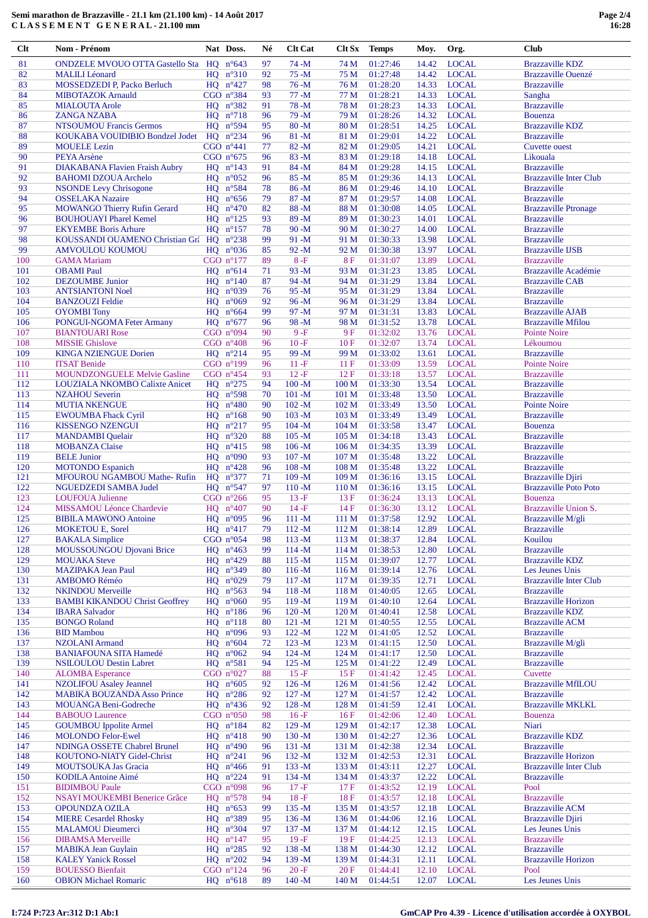# **Semi marathon de Brazzaville - 21.1 km (21.100 km) - 14 Août 2017 C L A S S E M E N T G E N E R A L - 21.100 mm**

| Clt | <b>Nom - Prénom</b>                      |    | Nat Doss.               | Né | <b>Clt Cat</b> | Clt Sx           | <b>Temps</b> | Moy.  | Org.         | <b>Club</b>                   |
|-----|------------------------------------------|----|-------------------------|----|----------------|------------------|--------------|-------|--------------|-------------------------------|
| 81  | ONDZELE MVOUO OTTA Gastello Sta HQ n°643 |    |                         | 97 | $74 - M$       | 74 M             | 01:27:46     | 14.42 | <b>LOCAL</b> | <b>Brazzaville KDZ</b>        |
| 82  | <b>MALILI</b> Léonard                    |    | $HQ$ $n^{\circ}310$     | 92 | $75 - M$       | 75 M             | 01:27:48     | 14.42 | <b>LOCAL</b> | Brazzaville Ouenzé            |
| 83  | MOSSEDZEDI P, Packo Berluch              |    | $HQ$ $n^{\circ}427$     | 98 | $76 - M$       | 76 M             | 01:28:20     | 14.33 | <b>LOCAL</b> | <b>Brazzaville</b>            |
|     |                                          |    |                         |    |                |                  |              |       |              |                               |
| 84  | <b>MIBOTAZOK</b> Arnauld                 |    | CGO $n^{\circ}384$      | 93 | $77 - M$       | 77 M             | 01:28:21     | 14.33 | <b>LOCAL</b> | Sangha                        |
| 85  | <b>MIALOUTA Arole</b>                    |    | $HQ$ $n^{\circ}382$     | 91 | $78 - M$       | 78 M             | 01:28:23     | 14.33 | <b>LOCAL</b> | <b>Brazzaville</b>            |
| 86  | <b>ZANGA NZABA</b>                       |    | $HQ$ $n°718$            | 96 | $79 - M$       | 79 M             | 01:28:26     | 14.32 | <b>LOCAL</b> | Bouenza                       |
| 87  | <b>NTSOUMOU Francis Germos</b>           |    | $HQ$ n°594              | 95 | $80 - M$       | 80 M             | 01:28:51     | 14.25 | <b>LOCAL</b> | <b>Brazzaville KDZ</b>        |
| 88  | KOUKABA VOUIDIBIO Bondzel Jodet          |    | $HQ$ $n^{\circ}234$     | 96 | $81 - M$       | 81 M             | 01:29:01     | 14.22 | <b>LOCAL</b> | <b>Brazzaville</b>            |
| 89  | <b>MOUELE</b> Lezin                      |    | CGO $n^{\circ}441$      | 77 | $82 - M$       | 82 M             | 01:29:05     | 14.21 | <b>LOCAL</b> | Cuvette ouest                 |
| 90  | PEYA Arsène                              |    | CGO $n^{\circ}675$      | 96 | $83 - M$       | 83 M             | 01:29:18     | 14.18 | <b>LOCAL</b> | Likouala                      |
| 91  | DIAKABANA Flavien Fraish Aubry           |    | $HO$ $n^{\circ}143$     | 91 | $84 - M$       | 84 M             | 01:29:28     | 14.15 | <b>LOCAL</b> | <b>Brazzaville</b>            |
| 92  | <b>BAHOMI DZOUA Archelo</b>              |    | HO $n^{\circ}052$       | 96 | $85 - M$       | 85 M             | 01:29:36     | 14.13 | <b>LOCAL</b> | <b>Brazzaville Inter Club</b> |
| 93  | <b>NSONDE Levy Chrisogone</b>            |    | $HQ$ $n°584$            | 78 | $86 - M$       | 86 M             | 01:29:46     | 14.10 | <b>LOCAL</b> | <b>Brazzaville</b>            |
| 94  | <b>OSSELAKA</b> Nazaire                  |    | $HQ$ $n^{\circ}656$     | 79 | $87 - M$       | 87 M             | 01:29:57     | 14.08 | <b>LOCAL</b> | <b>Brazzaville</b>            |
| 95  |                                          |    | $HQ$ $n^{\circ}470$     | 82 | $88 - M$       | 88 M             | 01:30:08     | 14.05 | <b>LOCAL</b> |                               |
|     | MOWANGO Thierry Rufin Gerard             |    |                         |    | $89 - M$       |                  |              |       |              | <b>Brazzaville Ptronage</b>   |
| 96  | <b>BOUHOUAYI</b> Pharel Kemel            |    | $HQ$ $n^{\circ}125$     | 93 |                | 89 M             | 01:30:23     | 14.01 | <b>LOCAL</b> | <b>Brazzaville</b>            |
| 97  | <b>EKYEMBE Boris Arhure</b>              |    | $HQ$ $n^{\circ}157$     | 78 | $90 - M$       | 90 M             | 01:30:27     | 14.00 | <b>LOCAL</b> | <b>Brazzaville</b>            |
| 98  | KOUSSANDI OUAMENO Christian Gri HQ n°238 |    |                         | 99 | $91 - M$       | 91 M             | 01:30:33     | 13.98 | <b>LOCAL</b> | <b>Brazzaville</b>            |
| 99  | <b>AMVOULOU KOUMOU</b>                   |    | $HQ$ $n^{\circ}036$     | 85 | $92 - M$       | 92 M             | 01:30:38     | 13.97 | <b>LOCAL</b> | <b>Brazzaville IJSB</b>       |
| 100 | <b>GAMA</b> Mariam                       |    | CGO $n^{\circ}177$      | 89 | $8-F$          | <b>8F</b>        | 01:31:07     | 13.89 | <b>LOCAL</b> | <b>Brazzaville</b>            |
| 101 | <b>OBAMI</b> Paul                        |    | HO $n^{\circ}614$       | 71 | $93 - M$       | 93 M             | 01:31:23     | 13.85 | <b>LOCAL</b> | Brazzaville Académie          |
| 102 | <b>DEZOUMBE</b> Junior                   |    | $HQ$ $n^{\circ}140$     | 87 | 94-M           | 94 M             | 01:31:29     | 13.84 | <b>LOCAL</b> | <b>Brazzaville CAB</b>        |
| 103 | <b>ANTSIANTONI Noel</b>                  |    | HO $n^{\circ}039$       | 76 | $95 - M$       | 95 M             | 01:31:29     | 13.84 | <b>LOCAL</b> | <b>Brazzaville</b>            |
| 104 | <b>BANZOUZI Feldie</b>                   |    | HO $n^{\circ}069$       | 92 | $96 - M$       | 96 M             | 01:31:29     | 13.84 | <b>LOCAL</b> | <b>Brazzaville</b>            |
| 105 | <b>OYOMBI</b> Tony                       |    | HO $n^{\circ}664$       | 99 | $97 - M$       | 97 M             | 01:31:31     | 13.83 | <b>LOCAL</b> | <b>Brazzaville AJAB</b>       |
| 106 | PONGUI-NGOMA Feter Armany                |    | HQ $n^{\circ}677$       | 96 | 98-M           | 98 M             | 01:31:52     | 13.78 | <b>LOCAL</b> | <b>Brazzaville Mfilou</b>     |
| 107 | <b>BIANTOUARI Rose</b>                   |    | CGO $n°094$             | 90 | $9-F$          | 9F               | 01:32:02     | 13.76 | <b>LOCAL</b> | Pointe Noire                  |
| 108 | <b>MISSIE Ghislove</b>                   |    | CGO $n^{\circ}408$      | 96 | $10-F$         | 10F              | 01:32:07     | 13.74 | <b>LOCAL</b> | Lékoumou                      |
|     |                                          |    |                         |    |                |                  |              |       |              |                               |
| 109 | <b>KINGA NZIENGUE Dorien</b>             |    | $HQ$ $n^{\circ}214$     | 95 | 99-M           | 99 M             | 01:33:02     | 13.61 | <b>LOCAL</b> | <b>Brazzaville</b>            |
| 110 | <b>ITSAT Benide</b>                      |    | CGO $n^{\circ}199$      | 96 | $11 - F$       | 11F              | 01:33:09     | 13.59 | <b>LOCAL</b> | <b>Pointe Noire</b>           |
| 111 | <b>MOUNDZONGUELE Melvie Gasline</b>      |    | CGO $n^{\circ}454$      | 93 | $12-F$         | 12F              | 01:33:18     | 13.57 | <b>LOCAL</b> | <b>Brazzaville</b>            |
| 112 | LOUZIALA NKOMBO Calixte Anicet           |    | $HQ$ $n^{\circ}275$     | 94 | $100 - M$      | 100 <sub>M</sub> | 01:33:30     | 13.54 | <b>LOCAL</b> | <b>Brazzaville</b>            |
| 113 | <b>NZAHOU Severin</b>                    |    | $HQ$ $n°598$            | 70 | $101 - M$      | 101 <sub>M</sub> | 01:33:48     | 13.50 | <b>LOCAL</b> | <b>Brazzaville</b>            |
| 114 | <b>MUTIA NKENGUE</b>                     |    | $HQ$ $n^{\circ}480$     | 90 | $102 - M$      | 102 M            | 01:33:49     | 13.50 | <b>LOCAL</b> | <b>Pointe Noire</b>           |
| 115 | <b>EWOUMBA Fhack Cyril</b>               |    | $HQ$ $n^{\circ}168$     | 90 | $103 - M$      | 103 M            | 01:33:49     | 13.49 | <b>LOCAL</b> | <b>Brazzaville</b>            |
| 116 | <b>KISSENGO NZENGUI</b>                  |    | $HQ$ $n^{\circ}217$     | 95 | $104 - M$      | 104 <sub>M</sub> | 01:33:58     | 13.47 | <b>LOCAL</b> | Bouenza                       |
| 117 | <b>MANDAMBI</b> Quelair                  |    | $HQ$ $n^{\circ}320$     | 88 | $105 - M$      | 105 <sub>M</sub> | 01:34:18     | 13.43 | <b>LOCAL</b> | <b>Brazzaville</b>            |
| 118 | <b>MOBANZA Claise</b>                    |    | $HQ$ $n^{\circ}415$     | 98 | $106 - M$      | 106 <sub>M</sub> | 01:34:35     | 13.39 | <b>LOCAL</b> | <b>Brazzaville</b>            |
| 119 | <b>BELE Junior</b>                       |    | $HQ$ $n°090$            | 93 | $107 - M$      | 107 M            | 01:35:48     | 13.22 | <b>LOCAL</b> | <b>Brazzaville</b>            |
| 120 |                                          |    | HQ $n^{\circ}428$       | 96 | $108 - M$      | 108 M            | 01:35:48     | 13.22 | <b>LOCAL</b> | <b>Brazzaville</b>            |
|     | <b>MOTONDO</b> Espanich                  |    |                         |    |                |                  |              |       |              |                               |
| 121 | MFOUROU NGAMBOU Mathe-Rufin              | HQ | $n^{\circ}377$          | 71 | $109 - M$      | 109 <sub>M</sub> | 01:36:16     | 13.15 | <b>LOCAL</b> | <b>Brazzaville Djiri</b>      |
| 122 | NGUEDZEDI SAMBA Judel                    |    | HO $n^{\circ}547$       | 97 | $110 - M$      | 110 <sub>M</sub> | 01:36:16     | 13.15 | <b>LOCAL</b> | <b>Brazzaville Poto Poto</b>  |
| 123 | <b>LOUFOUA Julienne</b>                  |    | CGO $n^{\circ}266$      | 95 | $13 - F$       | 13F              | 01:36:24     | 13.13 | <b>LOCAL</b> | Bouenza                       |
| 124 | MISSAMOU Léonce Chardevie                |    | $HQ$ $n^{\circ}407$     | 90 | $14-F$         | 14F              | 01:36:30     | 13.12 | <b>LOCAL</b> | Brazzaville Union S.          |
| 125 | <b>BIBILA MAWONO Antoine</b>             |    | HO $n^{\circ}095$       | 96 | $111 - M$      | 111 M            | 01:37:58     | 12.92 | <b>LOCAL</b> | Brazzaville M/gli             |
| 126 | <b>MOKETOU E, Sorel</b>                  |    | $HQ$ $n^{\circ}417$     | 79 | $112 - M$      | 112M             | 01:38:14     | 12.89 | <b>LOCAL</b> | <b>Brazzaville</b>            |
| 127 | <b>BAKALA</b> Simplice                   |    | CGO $n°054$             | 98 | $113 - M$      | 113 M            | 01:38:37     | 12.84 | <b>LOCAL</b> | Kouilou                       |
| 128 | <b>MOUSSOUNGOU Djovani Brice</b>         |    | $HQ$ $n^{\circ}463$     | 99 | $114 - M$      | 114M             | 01:38:53     | 12.80 | <b>LOCAL</b> | <b>Brazzaville</b>            |
| 129 | <b>MOUAKA</b> Steve                      |    | HQ $n^{\circ}429$       | 88 | $115 - M$      | 115 M            | 01:39:07     | 12.77 | <b>LOCAL</b> | <b>Brazzaville KDZ</b>        |
| 130 | <b>MAZIPAKA Jean Paul</b>                |    | $HQ$ $n^{\circ}349$     | 80 | $116 - M$      | 116M             | 01:39:14     | 12.76 | <b>LOCAL</b> | Les Jeunes Unis               |
| 131 | <b>AMBOMO Réméo</b>                      |    | $HQ$ $n°029$            | 79 | $117 - M$      | 117 <sub>M</sub> | 01:39:35     | 12.71 | <b>LOCAL</b> | <b>Brazzaville Inter Club</b> |
| 132 | <b>NKINDOU</b> Merveille                 |    | $HQ$ $n^{\circ}563$     | 94 | $118 - M$      | 118 <sub>M</sub> | 01:40:05     | 12.65 | <b>LOCAL</b> | <b>Brazzaville</b>            |
|     |                                          |    |                         |    |                |                  |              |       |              |                               |
| 133 | <b>BAMBI KIKANDOU Christ Geoffrey</b>    | HQ | $n^{\circ}060$          | 95 | $119 - M$      | 119 <sub>M</sub> | 01:40:10     | 12.64 | <b>LOCAL</b> | <b>Brazzaville Horizon</b>    |
| 134 | <b>IBARA Salvador</b>                    | HQ | $n^{\circ}186$          | 96 | $120 - M$      | 120 M            | 01:40:41     | 12.58 | <b>LOCAL</b> | <b>Brazzaville KDZ</b>        |
| 135 | <b>BONGO Roland</b>                      |    | $HQ$ $n^{\circ}118$     | 80 | $121 - M$      | 121 M            | 01:40:55     | 12.55 | <b>LOCAL</b> | <b>Brazzaville ACM</b>        |
| 136 | <b>BID Mambou</b>                        |    | $HQ$ $n°096$            | 93 | $122 - M$      | 122 M            | 01:41:05     | 12.52 | <b>LOCAL</b> | <b>Brazzaville</b>            |
| 137 | <b>NZOLANI</b> Armand                    |    | $HQ \quad n^{\circ}604$ | 72 | $123 - M$      | 123 M            | 01:41:15     | 12.50 | <b>LOCAL</b> | Brazzaville M/gli             |
| 138 | <b>BANIAFOUNA SITA Hamedé</b>            |    | $HQ \ n^{\circ}062$     | 94 | $124 - M$      | 124M             | 01:41:17     | 12.50 | <b>LOCAL</b> | <b>Brazzaville</b>            |
| 139 | <b>NSILOULOU Destin Labret</b>           |    | $HQ$ $n°581$            | 94 | $125 - M$      | 125 M            | 01:41:22     | 12.49 | <b>LOCAL</b> | <b>Brazzaville</b>            |
| 140 | <b>ALOMBA</b> Esperance                  |    | CGO $n°027$             | 88 | $15-F$         | 15F              | 01:41:42     | 12.45 | <b>LOCAL</b> | Cuvette                       |
| 141 | <b>NZOLIFOU Asaley Jeannel</b>           |    | $HQ$ $n^{\circ}605$     | 92 | $126 - M$      | 126 M            | 01:41:56     | 12.42 | <b>LOCAL</b> | <b>Brazzaville MfILOU</b>     |
| 142 | <b>MABIKA BOUZANDA Asso Prince</b>       |    | $HQ$ $n^{\circ}286$     | 92 | $127 - M$      | 127 <sub>M</sub> | 01:41:57     | 12.42 | <b>LOCAL</b> | <b>Brazzaville</b>            |
| 143 | MOUANGA Beni-Godreche                    |    | $HQ$ $n^{\circ}436$     | 92 | $128 - M$      | 128 M            | 01:41:59     | 12.41 | <b>LOCAL</b> | <b>Brazzaville MKLKL</b>      |
| 144 | <b>BABOUO Laurence</b>                   |    | CGO $n°050$             | 98 | $16-F$         | 16F              | 01:42:06     | 12.40 | <b>LOCAL</b> | <b>Bouenza</b>                |
| 145 | <b>GOUMBOU Ippolite Armel</b>            |    | $HQ$ $n^{\circ}184$     | 82 | $129 - M$      | 129 <sub>M</sub> | 01:42:17     | 12.38 | <b>LOCAL</b> | Niari                         |
| 146 | <b>MOLONDO Felor-Ewel</b>                | HO | $n^{\circ}418$          | 90 | $130 - M$      | 130 M            | 01:42:27     | 12.36 | <b>LOCAL</b> | <b>Brazzaville KDZ</b>        |
|     |                                          |    |                         |    |                |                  |              |       |              |                               |
| 147 | NDINGA OSSETE Chabrel Brunel             | HQ | $n^{\circ}490$          | 96 | $131 - M$      | 131 M            | 01:42:38     | 12.34 | <b>LOCAL</b> | <b>Brazzaville</b>            |
| 148 | KOUTONO-NIATY Gidel-Christ               |    | $HQ$ $n^{\circ}241$     | 96 | $132 - M$      | 132M             | 01:42:53     | 12.31 | <b>LOCAL</b> | <b>Brazzaville Horizon</b>    |
| 149 | <b>MOUTSOUKA Jas Gracia</b>              |    | $HQ$ n°466              | 91 | $133 - M$      | 133 M            | 01:43:11     | 12.27 | <b>LOCAL</b> | <b>Brazzaville Inter Club</b> |
| 150 | <b>KODILA Antoine Aimé</b>               |    | $HQ$ $n^{\circ}224$     | 91 | $134 - M$      | 134 M            | 01:43:37     | 12.22 | <b>LOCAL</b> | <b>Brazzaville</b>            |
| 151 | <b>BIDIMBOU Paule</b>                    |    | CGO $n°098$             | 96 | $17 - F$       | 17F              | 01:43:52     | 12.19 | <b>LOCAL</b> | Pool                          |
| 152 | <b>NSAYI MOUKEMBI Benerice Grâce</b>     | HQ | $n^{\circ}578$          | 94 | $18 - F$       | 18F              | 01:43:57     | 12.18 | <b>LOCAL</b> | <b>Brazzaville</b>            |
| 153 | OPOUNDZA OZILA                           | HQ | $n^{\circ}653$          | 99 | $135 - M$      | 135 M            | 01:43:57     | 12.18 | <b>LOCAL</b> | <b>Brazzaville ACM</b>        |
| 154 | <b>MIERE Cesardel Rhosky</b>             |    | $HQ$ $n^{\circ}389$     | 95 | $136 - M$      | 136 <sub>M</sub> | 01:44:06     | 12.16 | <b>LOCAL</b> | <b>Brazzaville Djiri</b>      |
| 155 | <b>MALAMOU</b> Dieumerci                 |    | $HQ$ $n^{\circ}304$     | 97 | $137 - M$      | 137 M            | 01:44:12     | 12.15 | <b>LOCAL</b> | Les Jeunes Unis               |
| 156 | <b>DIBAMSA Merveille</b>                 |    | $HQ \ n^{\circ}147$     | 95 | $19-F$         | 19F              | 01:44:25     | 12.13 | <b>LOCAL</b> | <b>Brazzaville</b>            |
| 157 | <b>MABIKA Jean Guylain</b>               |    | HQ $n^{\circ}285$       | 92 | $138 - M$      | 138 M            | 01:44:30     | 12.12 | <b>LOCAL</b> | <b>Brazzaville</b>            |
| 158 | <b>KALEY Yanick Rossel</b>               |    | HQ $n^{\circ}202$       | 94 | $139 - M$      | 139 M            | 01:44:31     | 12.11 | <b>LOCAL</b> | <b>Brazzaville Horizon</b>    |
| 159 | <b>BOUESSO Bienfait</b>                  |    | CGO $n^{\circ}124$      | 96 | $20 - F$       | 20F              | 01:44:41     | 12.10 | <b>LOCAL</b> | Pool                          |
| 160 | <b>OBION Michael Romaric</b>             |    | $HQ$ $n^{\circ}618$     | 89 | $140 - M$      | 140 M            | 01:44:51     | 12.07 | <b>LOCAL</b> | Les Jeunes Unis               |
|     |                                          |    |                         |    |                |                  |              |       |              |                               |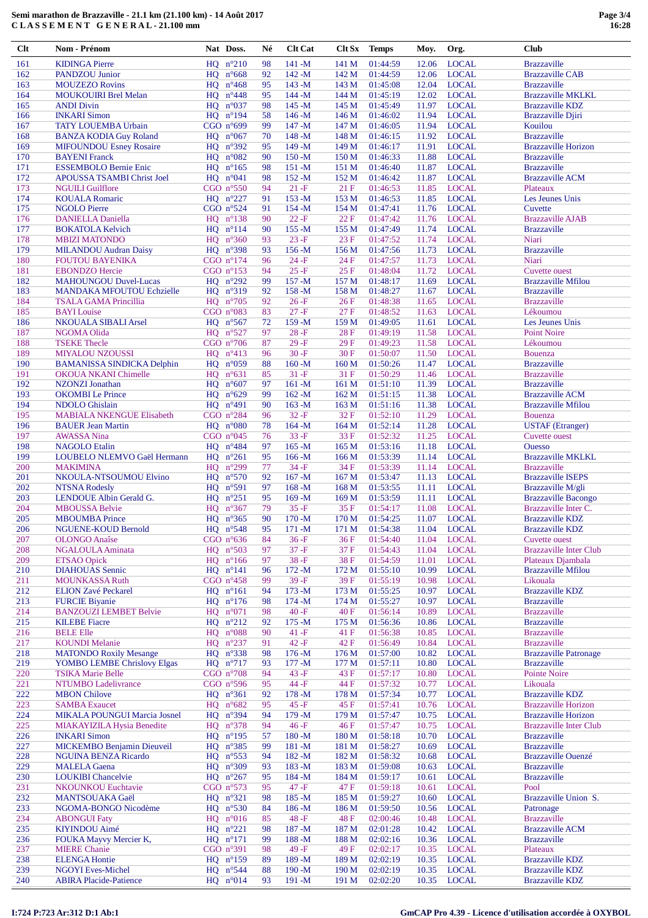| Clt | <b>Nom - Prénom</b>               | Nat Doss.           | Né | <b>Clt Cat</b> | Clt Sx           | <b>Temps</b> | Moy.  | Org.         | <b>Club</b>                   |
|-----|-----------------------------------|---------------------|----|----------------|------------------|--------------|-------|--------------|-------------------------------|
| 161 | <b>KIDINGA Pierre</b>             | $HQ$ $n^{\circ}210$ | 98 | $141 - M$      | 141 M            | 01:44:59     | 12.06 | <b>LOCAL</b> | <b>Brazzaville</b>            |
| 162 | <b>PANDZOU</b> Junior             | $HQ$ $n^{\circ}668$ | 92 | $142 - M$      | 142 M            | 01:44:59     | 12.06 | <b>LOCAL</b> | <b>Brazzaville CAB</b>        |
|     |                                   |                     |    |                |                  |              |       |              |                               |
| 163 | <b>MOUZEZO Rovins</b>             | HQ $n^{\circ}468$   | 95 | $143 - M$      | 143 M            | 01:45:08     | 12.04 | <b>LOCAL</b> | <b>Brazzaville</b>            |
| 164 | <b>MOUKOUIRI Brel Melan</b>       | HQ $n^{\circ}448$   | 95 | $144 - M$      | 144 M            | 01:45:19     | 12.02 | <b>LOCAL</b> | <b>Brazzaville MKLKL</b>      |
| 165 | <b>ANDI Divin</b>                 | $HQ$ $n°037$        | 98 | $145 - M$      | 145 M            | 01:45:49     | 11.97 | <b>LOCAL</b> | <b>Brazzaville KDZ</b>        |
| 166 | <b>INKARI</b> Simon               | $HQ$ $n^{\circ}194$ | 58 | $146 - M$      | 146M             | 01:46:02     | 11.94 | <b>LOCAL</b> | <b>Brazzaville Djiri</b>      |
| 167 | <b>TATY LOUEMBA Urbain</b>        | CGO n°699           | 99 | $147 - M$      | 147 M            | 01:46:05     | 11.94 | <b>LOCAL</b> | Kouilou                       |
| 168 | <b>BANZA KODIA Guy Roland</b>     | $HQ$ $n^{\circ}067$ | 70 | $148 - M$      | 148 M            | 01:46:15     | 11.92 | <b>LOCAL</b> | <b>Brazzaville</b>            |
| 169 | <b>MIFOUNDOU Esney Rosaire</b>    | HQ $n^{\circ}392$   | 95 | $149 - M$      | 149 M            | 01:46:17     | 11.91 | <b>LOCAL</b> | <b>Brazzaville Horizon</b>    |
| 170 | <b>BAYENI Franck</b>              | HO $n^{\circ}082$   | 90 | $150 - M$      | 150 M            | 01:46:33     | 11.88 | <b>LOCAL</b> | <b>Brazzaville</b>            |
| 171 | <b>ESSEMBOLO Bernie Enic</b>      | HO $n^{\circ}165$   | 98 | $151 - M$      | 151 M            | 01:46:40     | 11.87 | <b>LOCAL</b> | <b>Brazzaville</b>            |
| 172 | APOUSSA TSAMBI Christ Joel        | $HQ \ n^{\circ}041$ | 98 | $152 - M$      | 152 M            | 01:46:42     | 11.87 | <b>LOCAL</b> | <b>Brazzaville ACM</b>        |
| 173 | <b>NGUILI Guilflore</b>           | CGO $n°550$         | 94 | $21 - F$       | 21F              |              | 11.85 | <b>LOCAL</b> |                               |
|     |                                   |                     |    |                |                  | 01:46:53     |       |              | Plateaux                      |
| 174 | <b>KOUALA Romaric</b>             | $HQ$ $n^{\circ}227$ | 91 | $153 - M$      | 153 M            | 01:46:53     | 11.85 | <b>LOCAL</b> | Les Jeunes Unis               |
| 175 | <b>NGOLO Pierre</b>               | CGO $n°524$         | 91 | $154 - M$      | 154 M            | 01:47:41     | 11.76 | <b>LOCAL</b> | Cuvette                       |
| 176 | <b>DANIELLA Daniella</b>          | $HQ$ $n^{\circ}138$ | 90 | $22 - F$       | 22F              | 01:47:42     | 11.76 | <b>LOCAL</b> | <b>Brazzaville AJAB</b>       |
| 177 | <b>BOKATOLA Kelvich</b>           | $HQ$ $n^{\circ}114$ | 90 | $155 - M$      | 155 M            | 01:47:49     | 11.74 | <b>LOCAL</b> | <b>Brazzaville</b>            |
| 178 | <b>MBIZI MATONDO</b>              | $HQ$ $n^{\circ}360$ | 93 | $23 - F$       | 23F              | 01:47:52     | 11.74 | <b>LOCAL</b> | Niari                         |
| 179 | <b>MILANDOU Audran Daisy</b>      | $HQ$ $n°398$        | 93 | $156 - M$      | 156M             | 01:47:56     | 11.73 | <b>LOCAL</b> | <b>Brazzaville</b>            |
| 180 | <b>FOUTOU BAYENIKA</b>            | CGO $n^{\circ}174$  | 96 | $24-F$         | 24 F             | 01:47:57     | 11.73 | <b>LOCAL</b> | Niari                         |
| 181 | <b>EBONDZO Hercie</b>             | CGO $n^{\circ}153$  | 94 | $25 - F$       | 25F              | 01:48:04     | 11.72 | <b>LOCAL</b> | <b>Cuvette ouest</b>          |
| 182 | <b>MAHOUNGOU Duvel-Lucas</b>      | $HQ$ $n^{\circ}292$ | 99 | $157 - M$      | 157 M            | 01:48:17     | 11.69 | <b>LOCAL</b> | <b>Brazzaville Mfilou</b>     |
| 183 | MANDAKA MFOUTOU Echzielle         | HQ n°319            | 92 | $158 - M$      | 158 M            | 01:48:27     |       | <b>LOCAL</b> | <b>Brazzaville</b>            |
|     |                                   |                     |    |                |                  |              | 11.67 |              |                               |
| 184 | <b>TSALA GAMA Princillia</b>      | $HQ$ $n°705$        | 92 | $26-F$         | 26F              | 01:48:38     | 11.65 | <b>LOCAL</b> | <b>Brazzaville</b>            |
| 185 | <b>BAYI</b> Louise                | CGO $n°083$         | 83 | $27 - F$       | 27F              | 01:48:52     | 11.63 | <b>LOCAL</b> | Lékoumou                      |
| 186 | <b>NKOUALA SIBALI Arsel</b>       | $HQ$ $n^{\circ}567$ | 72 | $159 - M$      | 159 M            | 01:49:05     | 11.61 | <b>LOCAL</b> | Les Jeunes Unis               |
| 187 | NGOMA Olida                       | $HQ \ n^{\circ}527$ | 97 | $28-F$         | 28F              | 01:49:19     | 11.58 | <b>LOCAL</b> | <b>Point Noire</b>            |
| 188 | <b>TSEKE Thecle</b>               | CGO $n°706$         | 87 | $29 - F$       | 29F              | 01:49:23     | 11.58 | <b>LOCAL</b> | Lékoumou                      |
| 189 | <b>MIYALOU NZOUSSI</b>            | $HQ$ $n^{\circ}413$ | 96 | $30 - F$       | 30F              | 01:50:07     | 11.50 | <b>LOCAL</b> | <b>Bouenza</b>                |
| 190 | <b>BAMANISSA SINDICKA Delphin</b> | $HQ$ $n°059$        | 88 | $160 - M$      | 160 <sub>M</sub> | 01:50:26     | 11.47 | <b>LOCAL</b> | <b>Brazzaville</b>            |
| 191 | <b>OKOUA NKANI Chimelle</b>       | $HQ$ $n^{\circ}631$ | 85 | $31 - F$       | 31 F             | 01:50:29     | 11.46 | <b>LOCAL</b> | <b>Brazzaville</b>            |
| 192 | NZONZI Jonathan                   | $HQ$ $n^{\circ}607$ | 97 | $161 - M$      | 161 M            | 01:51:10     | 11.39 | <b>LOCAL</b> | <b>Brazzaville</b>            |
|     |                                   |                     | 99 |                |                  |              |       |              |                               |
| 193 | <b>OKOMBI</b> Le Prince           | HQ $n^{\circ}629$   |    | $162 - M$      | 162 M            | 01:51:15     | 11.38 | <b>LOCAL</b> | <b>Brazzaville ACM</b>        |
| 194 | <b>NDOLO</b> Ghislain             | $HQ$ $n^{\circ}491$ | 90 | $163 - M$      | 163 M            | 01:51:16     | 11.38 | <b>LOCAL</b> | <b>Brazzaville Mfilou</b>     |
| 195 | <b>MABIALA NKENGUE Elisabeth</b>  | CGO $n^{\circ}284$  | 96 | $32-F$         | 32F              | 01:52:10     | 11.29 | <b>LOCAL</b> | <b>Bouenza</b>                |
| 196 | <b>BAUER Jean Martin</b>          | $HQ$ $n^{\circ}080$ | 78 | $164 - M$      | 164M             | 01:52:14     | 11.28 | <b>LOCAL</b> | <b>USTAF</b> (Etranger)       |
| 197 | <b>AWASSA Nina</b>                | CGO $n^{\circ}045$  | 76 | $33 - F$       | 33F              | 01:52:32     | 11.25 | <b>LOCAL</b> | <b>Cuvette ouest</b>          |
| 198 | <b>NAGOLO</b> Etalin              | $HQ$ $n^{\circ}484$ | 97 | $165 - M$      | 165 M            | 01:53:16     | 11.18 | <b>LOCAL</b> | <b>Ouesso</b>                 |
| 199 | LOUBELO NLEMVO Gaël Hermann       | $HQ$ $n^{\circ}261$ | 95 | $166 - M$      | 166 M            | 01:53:39     | 11.14 | <b>LOCAL</b> | <b>Brazzaville MKLKL</b>      |
| 200 | <b>MAKIMINA</b>                   | HQ $n^{\circ}299$   | 77 | $34-F$         | 34 F             | 01:53:39     | 11.14 | <b>LOCAL</b> | <b>Brazzaville</b>            |
| 201 | NKOULA-NTSOUMOU Elvino            | $HQ$ $n°570$        | 92 | $167 - M$      | 167 M            | 01:53:47     | 11.13 | <b>LOCAL</b> | <b>Brazzaville ISEPS</b>      |
| 202 | <b>NTSNA Rodesly</b>              | $HQ$ $n°591$        | 97 | $168 - M$      | 168 <sub>M</sub> | 01:53:55     | 11.11 | <b>LOCAL</b> | Brazzaville M/gli             |
| 203 | LENDOUE Albin Gerald G.           | $HQ$ $n^{\circ}251$ | 95 | $169 - M$      | 169 <sub>M</sub> | 01:53:59     | 11.11 | <b>LOCAL</b> | <b>Brazzaville Bacongo</b>    |
| 204 | <b>MBOUSSA Belvie</b>             |                     | 79 | $35 - F$       | 35F              | 01:54:17     |       | <b>LOCAL</b> | Brazzaville Inter C.          |
|     |                                   | $HQ$ $n^{\circ}367$ |    |                |                  |              | 11.08 |              |                               |
| 205 | <b>MBOUMBA</b> Prince             | HQ $n^{\circ}365$   | 90 | $170 - M$      | 170 M            | 01:54:25     | 11.07 | <b>LOCAL</b> | <b>Brazzaville KDZ</b>        |
| 206 | <b>NGUENE-KOUD Bernold</b>        | HO $n^{\circ}548$   | 95 | $171 - M$      | 171 M            | 01:54:38     | 11.04 | <b>LOCAL</b> | <b>Brazzaville KDZ</b>        |
| 207 | <b>OLONGO</b> Anaîse              | CGO $n^{\circ}636$  | 84 | $36-F$         | 36 F             | 01:54:40     | 11.04 | <b>LOCAL</b> | <b>Cuvette ouest</b>          |
| 208 | NGALOULA Aminata                  | $HQ$ $n°503$        | 97 | $37 - F$       | 37F              | 01:54:43     | 11.04 | <b>LOCAL</b> | <b>Brazzaville Inter Club</b> |
| 209 | <b>ETSAO</b> Opick                | $HQ$ $n^{\circ}166$ | 97 | $38 - F$       | 38F              | 01:54:59     | 11.01 | <b>LOCAL</b> | Plateaux Djambala             |
| 210 | <b>DIAHOUAS</b> Sennic            | $HQ$ $n^{\circ}141$ | 96 | $172 - M$      | 172 M            | 01:55:10     | 10.99 | <b>LOCAL</b> | <b>Brazzaville Mfilou</b>     |
| 211 | <b>MOUNKASSA Ruth</b>             | CGO $n^{\circ}458$  | 99 | $39-F$         | 39F              | 01:55:19     | 10.98 | <b>LOCAL</b> | Likouala                      |
| 212 | <b>ELION Zavé Peckarel</b>        | $HQ$ $n^{\circ}161$ | 94 | $173 - M$      | 173 M            | 01:55:25     | 10.97 | <b>LOCAL</b> | <b>Brazzaville KDZ</b>        |
| 213 | <b>FURCIE Biyanie</b>             | $HQ$ $n^{\circ}176$ | 98 | $174 - M$      | 174 M            | 01:55:27     | 10.97 | <b>LOCAL</b> | <b>Brazzaville</b>            |
| 214 | <b>BANZOUZI LEMBET Belvie</b>     | $HQ$ $n°071$        | 98 | $40 - F$       | 40 F             | 01:56:14     | 10.89 | <b>LOCAL</b> | <b>Brazzaville</b>            |
|     |                                   |                     |    |                |                  |              |       |              |                               |
| 215 | <b>KILEBE</b> Fiacre              | $HQ$ $n^{\circ}212$ | 92 | $175 - M$      | 175 M            | 01:56:36     | 10.86 | <b>LOCAL</b> | <b>Brazzaville</b>            |
| 216 | <b>BELE Elle</b>                  | $HQ$ $n°088$        | 90 | $41 - F$       | 41 F             | 01:56:38     | 10.85 | <b>LOCAL</b> | <b>Brazzaville</b>            |
| 217 | <b>KOUNDI Melanie</b>             | HQ $n^{\circ}237$   | 91 | $42 - F$       | 42 F             | 01:56:49     | 10.84 | <b>LOCAL</b> | <b>Brazzaville</b>            |
| 218 | <b>MATONDO Roxily Mesange</b>     | $HQ$ $n^{\circ}338$ | 98 | $176 - M$      | 176M             | 01:57:00     | 10.82 | <b>LOCAL</b> | <b>Brazzaville Patronage</b>  |
| 219 | YOMBO LEMBE Chrislovy Elgas       | HO $n^{\circ}$ 717  | 93 | $177 - M$      | 177 M            | 01:57:11     | 10.80 | <b>LOCAL</b> | <b>Brazzaville</b>            |
| 220 | <b>TSIKA Marie Belle</b>          | CGO $n°708$         | 94 | $43 - F$       | 43 F             | 01:57:17     | 10.80 | <b>LOCAL</b> | <b>Pointe Noire</b>           |
| 221 | <b>NTUMBO</b> Ladelivrance        | CGO $n°596$         | 95 | $44 - F$       | 44 F             | 01:57:32     | 10.77 | <b>LOCAL</b> | Likouala                      |
| 222 | <b>MBON</b> Chilove               | $HQ$ $n^{\circ}361$ | 92 | $178 - M$      | 178 M            | 01:57:34     | 10.77 | <b>LOCAL</b> | <b>Brazzaville KDZ</b>        |
| 223 | <b>SAMBA</b> Exaucet              | HQ $n^{\circ}682$   | 95 | $45-F$         | 45 F             | 01:57:41     | 10.76 | <b>LOCAL</b> | <b>Brazzaville Horizon</b>    |
| 224 | MIKALA POUNGUI Marcia Josnel      | HQ $n^{\circ}394$   | 94 | $179 - M$      | 179 <sub>M</sub> | 01:57:47     | 10.75 | <b>LOCAL</b> | <b>Brazzaville Horizon</b>    |
| 225 | MIAKAYIZILA Hysia Benedite        | $HQ$ $n^{\circ}378$ | 94 | $46 - F$       | 46F              | 01:57:47     | 10.75 | <b>LOCAL</b> | <b>Brazzaville Inter Club</b> |
|     |                                   |                     |    |                |                  |              |       |              |                               |
| 226 | <b>INKARI</b> Simon               | $HQ$ $n^{\circ}195$ | 57 | $180 - M$      | 180 M            | 01:58:18     | 10.70 | <b>LOCAL</b> | <b>Brazzaville</b>            |
| 227 | MICKEMBO Benjamin Dieuveil        | $HQ$ $n^{\circ}385$ | 99 | $181 - M$      | 181 M            | 01:58:27     | 10.69 | <b>LOCAL</b> | <b>Brazzaville</b>            |
| 228 | <b>NGUINA BENZA Ricardo</b>       | $HQ$ $n^{\circ}553$ | 94 | $182 - M$      | 182 M            | 01:58:32     | 10.68 | <b>LOCAL</b> | Brazzaville Ouenzé            |
| 229 | <b>MALELA</b> Gaena               | $HQ$ $n°309$        | 93 | $183 - M$      | 183 M            | 01:59:08     | 10.63 | <b>LOCAL</b> | <b>Brazzaville</b>            |
| 230 | <b>LOUKIBI</b> Chancelvie         | $HQ$ $n^{\circ}267$ | 95 | $184 - M$      | 184 M            | 01:59:17     | 10.61 | <b>LOCAL</b> | <b>Brazzaville</b>            |
| 231 | <b>NKOUNKOU Euchtavie</b>         | CGO $n°573$         | 95 | $47 - F$       | 47 F             | 01:59:18     | 10.61 | <b>LOCAL</b> | Pool                          |
| 232 | <b>MANTSOUAKA Gaël</b>            | $HQ$ $n^{\circ}321$ | 98 | $185 - M$      | 185 M            | 01:59:27     | 10.60 | <b>LOCAL</b> | Brazzaville Union S.          |
| 233 | NGOMA-BONGO Nicodème              | $HQ$ $n^{\circ}530$ | 84 | $186 - M$      | 186 <sub>M</sub> | 01:59:50     | 10.56 | <b>LOCAL</b> | Patronage                     |
| 234 | <b>ABONGUI Faty</b>               | $HQ$ $n^{\circ}016$ | 85 | $48-F$         | 48 F             | 02:00:46     | 10.48 | <b>LOCAL</b> | <b>Brazzaville</b>            |
| 235 | <b>KIYINDOU</b> Aimé              | $HQ$ $n^{\circ}221$ | 98 | $187 - M$      | 187 M            | 02:01:28     | 10.42 | <b>LOCAL</b> | <b>Brazzaville ACM</b>        |
| 236 | FOUKA Mayvy Mercier K,            | $HQ$ $n^{\circ}171$ | 99 | $188 - M$      | 188 M            | 02:02:16     | 10.36 | <b>LOCAL</b> | <b>Brazzaville</b>            |
|     |                                   |                     |    |                |                  |              |       |              |                               |
| 237 | <b>MIERE</b> Chanie               | CGO n°391           | 98 | $49 - F$       | 49 F             | 02:02:17     | 10.35 | <b>LOCAL</b> | Plateaux                      |
| 238 | <b>ELENGA Hontie</b>              | $HQ$ $n^{\circ}159$ | 89 | 189-M          | 189 M            | 02:02:19     | 10.35 | <b>LOCAL</b> | <b>Brazzaville KDZ</b>        |
| 239 | <b>NGOYI</b> Eves-Michel          | $HQ$ $n^{\circ}544$ | 88 | $190 - M$      | 190 <sub>M</sub> | 02:02:19     | 10.35 | <b>LOCAL</b> | <b>Brazzaville KDZ</b>        |
| 240 | <b>ABIRA Placide-Patience</b>     | $HQ$ $n°014$        | 93 | $191 - M$      | 191 M            | 02:02:20     | 10.35 | <b>LOCAL</b> | <b>Brazzaville KDZ</b>        |